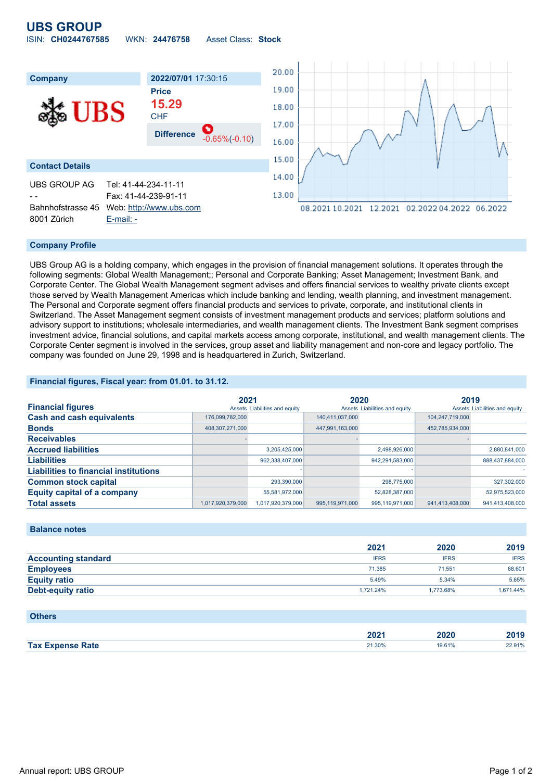## **UBS GROUP**

| ISIN: CH0244767585<br><b>Asset Class: Stock</b><br>WKN: 24476758 |  |  |  |  |  |  |
|------------------------------------------------------------------|--|--|--|--|--|--|
|------------------------------------------------------------------|--|--|--|--|--|--|



#### **Company Profile**

UBS Group AG is a holding company, which engages in the provision of financial management solutions. It operates through the following segments: Global Wealth Management;; Personal and Corporate Banking; Asset Management; Investment Bank, and Corporate Center. The Global Wealth Management segment advises and offers financial services to wealthy private clients except those served by Wealth Management Americas which include banking and lending, wealth planning, and investment management. The Personal and Corporate segment offers financial products and services to private, corporate, and institutional clients in Switzerland. The Asset Management segment consists of investment management products and services; platform solutions and advisory support to institutions; wholesale intermediaries, and wealth management clients. The Investment Bank segment comprises investment advice, financial solutions, and capital markets access among corporate, institutional, and wealth management clients. The Corporate Center segment is involved in the services, group asset and liability management and non-core and legacy portfolio. The company was founded on June 29, 1998 and is headquartered in Zurich, Switzerland.

#### **Financial figures, Fiscal year: from 01.01. to 31.12.**

|                                              | 2021              |                               | 2020            |                               | 2019            |                               |
|----------------------------------------------|-------------------|-------------------------------|-----------------|-------------------------------|-----------------|-------------------------------|
| <b>Financial figures</b>                     |                   | Assets Liabilities and equity |                 | Assets Liabilities and equity |                 | Assets Liabilities and equity |
| <b>Cash and cash equivalents</b>             | 176,099,782,000   |                               | 140,411,037,000 |                               | 104.247.719.000 |                               |
| <b>Bonds</b>                                 | 408,307,271,000   |                               | 447,991,163,000 |                               | 452,785,934,000 |                               |
| <b>Receivables</b>                           |                   |                               |                 |                               |                 |                               |
| <b>Accrued liabilities</b>                   |                   | 3,205,425,000                 |                 | 2,498,926,000                 |                 | 2,880,841,000                 |
| <b>Liabilities</b>                           |                   | 962,338,407,000               |                 | 942,291,583,000               |                 | 888,437,884,000               |
| <b>Liabilities to financial institutions</b> |                   |                               |                 |                               |                 |                               |
| <b>Common stock capital</b>                  |                   | 293,390,000                   |                 | 298,775,000                   |                 | 327,302,000                   |
| <b>Equity capital of a company</b>           |                   | 55.581.972.000                |                 | 52.828.387.000                |                 | 52,975,523,000                |
| <b>Total assets</b>                          | 1.017.920.379.000 | 1.017.920.379.000             | 995.119.971.000 | 995.119.971.000               | 941.413.408.000 | 941.413.408.000               |

#### **Balance notes**

|                            | 2021        | 2020        | 2019        |
|----------------------------|-------------|-------------|-------------|
| <b>Accounting standard</b> | <b>IFRS</b> | <b>IFRS</b> | <b>IFRS</b> |
| <b>Employees</b>           | 71.385      | 71.551      | 68.601      |
| <b>Equity ratio</b>        | 5.49%       | 5.34%       | 5.65%       |
| Debt-equity ratio          | 1.721.24%   | 1.773.68%   | 1,671.44%   |

#### **Others**

| ZUZ                        | 49                    |                 |
|----------------------------|-----------------------|-----------------|
| 24.200<br>ate?<br>2 I.JU70 | 610 <sub>1</sub><br>. | 2.91%<br>-- - - |
|                            |                       |                 |